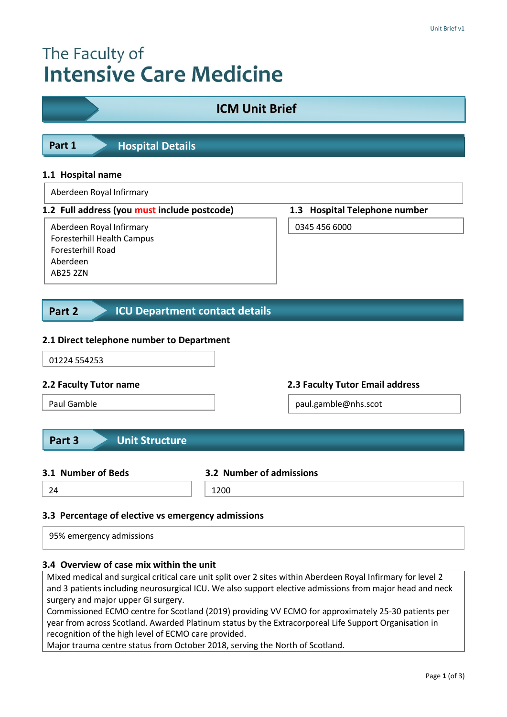# The Faculty of **Intensive Care Medicine**

| <b>ICM Unit Brief</b>                                                                                                                                         |      |                                 |  |  |
|---------------------------------------------------------------------------------------------------------------------------------------------------------------|------|---------------------------------|--|--|
| <b>Hospital Details</b><br>Part 1                                                                                                                             |      |                                 |  |  |
| 1.1 Hospital name                                                                                                                                             |      |                                 |  |  |
| Aberdeen Royal Infirmary                                                                                                                                      |      |                                 |  |  |
| 1.2 Full address (you must include postcode)                                                                                                                  |      | 1.3 Hospital Telephone number   |  |  |
| Aberdeen Royal Infirmary<br>Foresterhill Health Campus<br>Foresterhill Road<br>Aberdeen<br><b>AB25 2ZN</b><br><b>ICU Department contact details</b><br>Part 2 |      | 0345 456 6000                   |  |  |
| 2.1 Direct telephone number to Department<br>01224 554253                                                                                                     |      |                                 |  |  |
| 2.2 Faculty Tutor name                                                                                                                                        |      | 2.3 Faculty Tutor Email address |  |  |
| Paul Gamble                                                                                                                                                   |      | paul.gamble@nhs.scot            |  |  |
| <b>Unit Structure</b><br>Part 3<br>3.1 Number of Beds<br>3.2 Number of admissions                                                                             |      |                                 |  |  |
| 24                                                                                                                                                            | 1200 |                                 |  |  |
| 3.3 Percentage of elective vs emergency admissions<br>95% emergency admissions                                                                                |      |                                 |  |  |

# **3.4 Overview of case mix within the unit**

Mixed medical and surgical critical care unit split over 2 sites within Aberdeen Royal Infirmary for level 2 and 3 patients including neurosurgical ICU. We also support elective admissions from major head and neck surgery and major upper GI surgery.

Commissioned ECMO centre for Scotland (2019) providing VV ECMO for approximately 25-30 patients per year from across Scotland. Awarded Platinum status by the Extracorporeal Life Support Organisation in recognition of the high level of ECMO care provided.

Major trauma centre status from October 2018, serving the North of Scotland.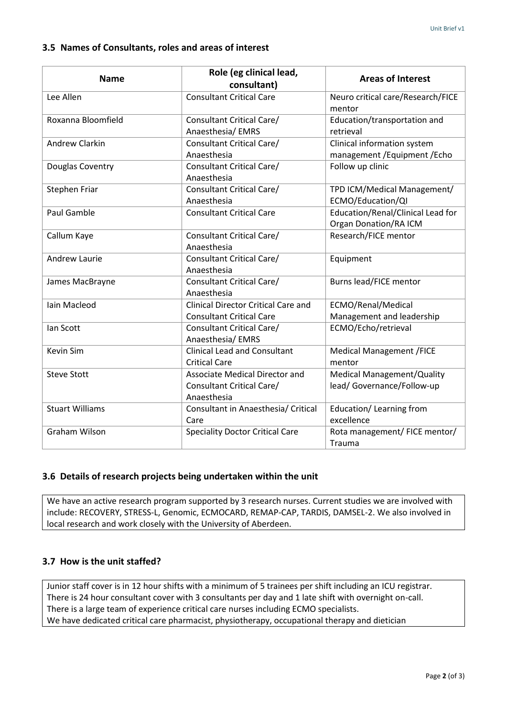# **3.5 Names of Consultants, roles and areas of interest**

| <b>Name</b>            | Role (eg clinical lead,<br>consultant)                                        | <b>Areas of Interest</b>                                          |
|------------------------|-------------------------------------------------------------------------------|-------------------------------------------------------------------|
| Lee Allen              | <b>Consultant Critical Care</b>                                               | Neuro critical care/Research/FICE<br>mentor                       |
| Roxanna Bloomfield     | Consultant Critical Care/<br>Anaesthesia/EMRS                                 | Education/transportation and<br>retrieval                         |
| Andrew Clarkin         | Consultant Critical Care/<br>Anaesthesia                                      | Clinical information system<br>management / Equipment / Echo      |
| Douglas Coventry       | Consultant Critical Care/<br>Anaesthesia                                      | Follow up clinic                                                  |
| Stephen Friar          | Consultant Critical Care/<br>Anaesthesia                                      | TPD ICM/Medical Management/<br>ECMO/Education/QI                  |
| <b>Paul Gamble</b>     | <b>Consultant Critical Care</b>                                               | Education/Renal/Clinical Lead for<br><b>Organ Donation/RA ICM</b> |
| Callum Kaye            | Consultant Critical Care/<br>Anaesthesia                                      | Research/FICE mentor                                              |
| <b>Andrew Laurie</b>   | Consultant Critical Care/<br>Anaesthesia                                      | Equipment                                                         |
| James MacBrayne        | Consultant Critical Care/<br>Anaesthesia                                      | Burns lead/FICE mentor                                            |
| Iain Macleod           | <b>Clinical Director Critical Care and</b><br><b>Consultant Critical Care</b> | ECMO/Renal/Medical<br>Management and leadership                   |
| Ian Scott              | Consultant Critical Care/<br>Anaesthesia/EMRS                                 | ECMO/Echo/retrieval                                               |
| Kevin Sim              | <b>Clinical Lead and Consultant</b><br><b>Critical Care</b>                   | <b>Medical Management /FICE</b><br>mentor                         |
| <b>Steve Stott</b>     | Associate Medical Director and<br>Consultant Critical Care/<br>Anaesthesia    | <b>Medical Management/Quality</b><br>lead/Governance/Follow-up    |
| <b>Stuart Williams</b> | Consultant in Anaesthesia/ Critical<br>Care                                   | Education/Learning from<br>excellence                             |
| <b>Graham Wilson</b>   | <b>Speciality Doctor Critical Care</b>                                        | Rota management/ FICE mentor/<br>Trauma                           |

# **3.6 Details of research projects being undertaken within the unit**

We have an active research program supported by 3 research nurses. Current studies we are involved with include: RECOVERY, STRESS-L, Genomic, ECMOCARD, REMAP-CAP, TARDIS, DAMSEL-2. We also involved in local research and work closely with the University of Aberdeen.

# **3.7 How is the unit staffed?**

Junior staff cover is in 12 hour shifts with a minimum of 5 trainees per shift including an ICU registrar. There is 24 hour consultant cover with 3 consultants per day and 1 late shift with overnight on-call. There is a large team of experience critical care nurses including ECMO specialists. We have dedicated critical care pharmacist, physiotherapy, occupational therapy and dietician